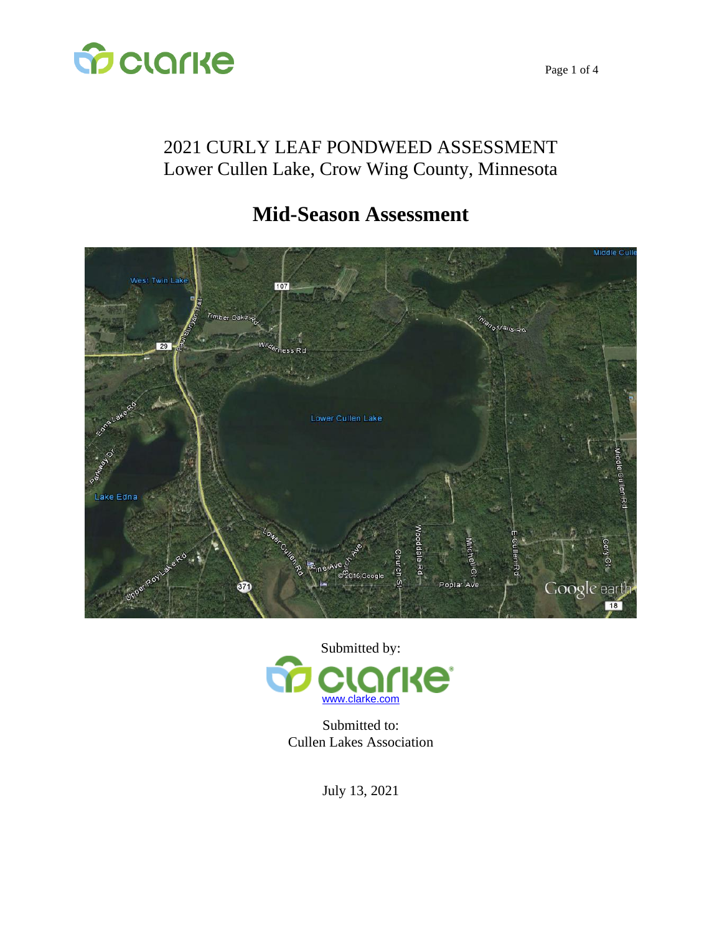

## 2021 CURLY LEAF PONDWEED ASSESSMENT Lower Cullen Lake, Crow Wing County, Minnesota

# **Mid-Season Assessment**





Submitted to: Cullen Lakes Association

July 13, 2021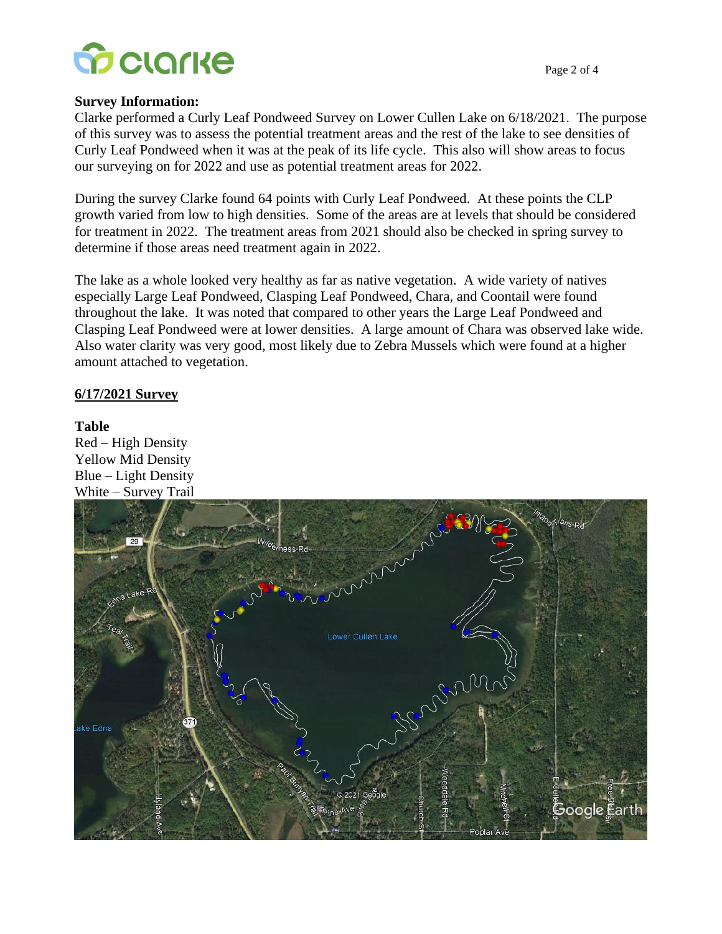

#### **Survey Information:**

Clarke performed a Curly Leaf Pondweed Survey on Lower Cullen Lake on 6/18/2021. The purpose of this survey was to assess the potential treatment areas and the rest of the lake to see densities of Curly Leaf Pondweed when it was at the peak of its life cycle. This also will show areas to focus our surveying on for 2022 and use as potential treatment areas for 2022.

During the survey Clarke found 64 points with Curly Leaf Pondweed. At these points the CLP growth varied from low to high densities. Some of the areas are at levels that should be considered for treatment in 2022. The treatment areas from 2021 should also be checked in spring survey to determine if those areas need treatment again in 2022.

The lake as a whole looked very healthy as far as native vegetation. A wide variety of natives especially Large Leaf Pondweed, Clasping Leaf Pondweed, Chara, and Coontail were found throughout the lake. It was noted that compared to other years the Large Leaf Pondweed and Clasping Leaf Pondweed were at lower densities. A large amount of Chara was observed lake wide. Also water clarity was very good, most likely due to Zebra Mussels which were found at a higher amount attached to vegetation.

#### **6/17/2021 Survey**

#### **Table**

Red – High Density Yellow Mid Density Blue – Light Density White – Survey Trail

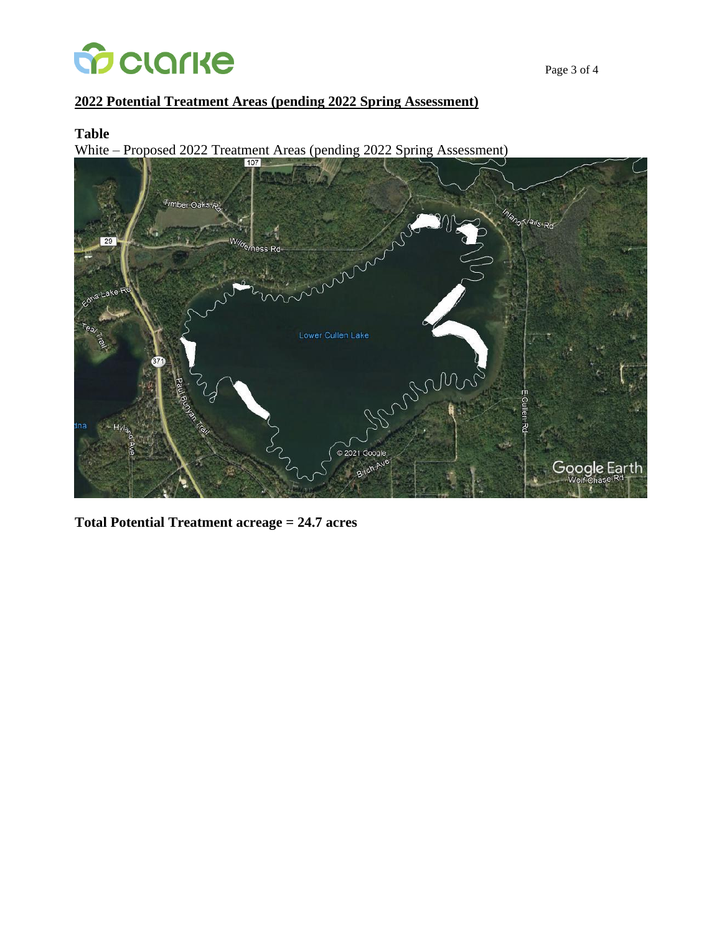

Page 3 of 4

#### **2022 Potential Treatment Areas (pending 2022 Spring Assessment)**

#### **Table**

White – Proposed 2022 Treatment Areas (pending 2022 Spring Assessment)



**Total Potential Treatment acreage = 24.7 acres**